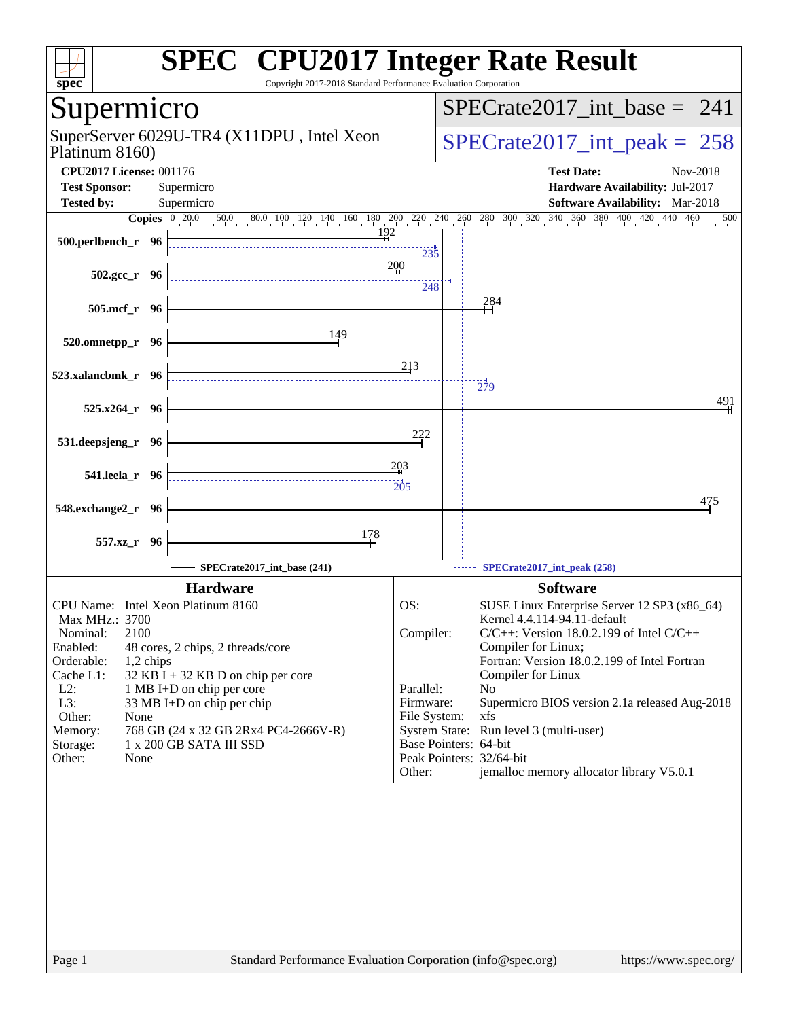| spec <sup>®</sup>                                                                      | <b>SPEC<sup>®</sup> CPU2017 Integer Rate Result</b><br>Copyright 2017-2018 Standard Performance Evaluation Corporation                                                                                                           |
|----------------------------------------------------------------------------------------|----------------------------------------------------------------------------------------------------------------------------------------------------------------------------------------------------------------------------------|
| Supermicro                                                                             | $SPECrate2017\_int\_base = 241$                                                                                                                                                                                                  |
| SuperServer 6029U-TR4 (X11DPU, Intel Xeon<br>Platinum 8160)                            | $SPECrate2017\_int\_peak = 258$                                                                                                                                                                                                  |
| <b>CPU2017 License: 001176</b><br><b>Test Sponsor:</b><br>Supermicro                   | <b>Test Date:</b><br>Nov-2018<br>Hardware Availability: Jul-2017                                                                                                                                                                 |
| <b>Tested by:</b><br>Supermicro                                                        | Software Availability: Mar-2018<br><b>Copies</b> $\begin{bmatrix} 0 & 20.0 & 50.0 & 80.0 & 100 & 120 & 140 & 160 & 180 & 200 & 220 & 240 & 260 & 280 & 300 & 320 & 340 & 360 & 380 & 400 & 420 & 440 & 460 \end{bmatrix}$<br>500 |
| 500.perlbench_r 96                                                                     | 192<br>235                                                                                                                                                                                                                       |
| $502.\text{gcc r}$ 96                                                                  | 200<br>248                                                                                                                                                                                                                       |
| 505.mcf_r 96                                                                           | 284                                                                                                                                                                                                                              |
| 149<br>520.omnetpp_r 96                                                                |                                                                                                                                                                                                                                  |
| 523.xalancbmk_r 96                                                                     | 213<br>279                                                                                                                                                                                                                       |
| 525.x264_r 96                                                                          | 491                                                                                                                                                                                                                              |
| 531.deepsjeng_r 96                                                                     | 222                                                                                                                                                                                                                              |
| 541.leela_r 96                                                                         | 203<br>$\overline{205}$                                                                                                                                                                                                          |
| 548.exchange2_r 96                                                                     | 475                                                                                                                                                                                                                              |
| 178<br>557.xz_r<br>- 96                                                                |                                                                                                                                                                                                                                  |
| SPECrate2017_int_base (241)                                                            | SPECrate2017_int_peak (258)                                                                                                                                                                                                      |
| <b>Hardware</b>                                                                        | <b>Software</b>                                                                                                                                                                                                                  |
| CPU Name: Intel Xeon Platinum 8160<br>Max MHz.: 3700                                   | OS:<br>SUSE Linux Enterprise Server 12 SP3 (x86_64)<br>Kernel 4.4.114-94.11-default                                                                                                                                              |
| 2100<br>Nominal:                                                                       | Compiler:<br>$C/C++$ : Version 18.0.2.199 of Intel $C/C++$                                                                                                                                                                       |
| Enabled:<br>48 cores, 2 chips, 2 threads/core<br>Orderable:<br>1,2 chips               | Compiler for Linux;<br>Fortran: Version 18.0.2.199 of Intel Fortran                                                                                                                                                              |
| Cache L1:<br>$32$ KB I + 32 KB D on chip per core                                      | Compiler for Linux                                                                                                                                                                                                               |
| $L2$ :<br>1 MB I+D on chip per core<br>L3:<br>33 MB I+D on chip per chip               | Parallel:<br>No<br>Firmware:<br>Supermicro BIOS version 2.1a released Aug-2018                                                                                                                                                   |
| Other:<br>None                                                                         | File System:<br>xfs                                                                                                                                                                                                              |
| Memory:<br>768 GB (24 x 32 GB 2Rx4 PC4-2666V-R)<br>1 x 200 GB SATA III SSD<br>Storage: | System State: Run level 3 (multi-user)<br>Base Pointers: 64-bit                                                                                                                                                                  |
| Other:<br>None                                                                         | Peak Pointers: 32/64-bit                                                                                                                                                                                                         |
|                                                                                        | jemalloc memory allocator library V5.0.1<br>Other:                                                                                                                                                                               |
|                                                                                        |                                                                                                                                                                                                                                  |
| Page 1                                                                                 | Standard Performance Evaluation Corporation (info@spec.org)<br>https://www.spec.org/                                                                                                                                             |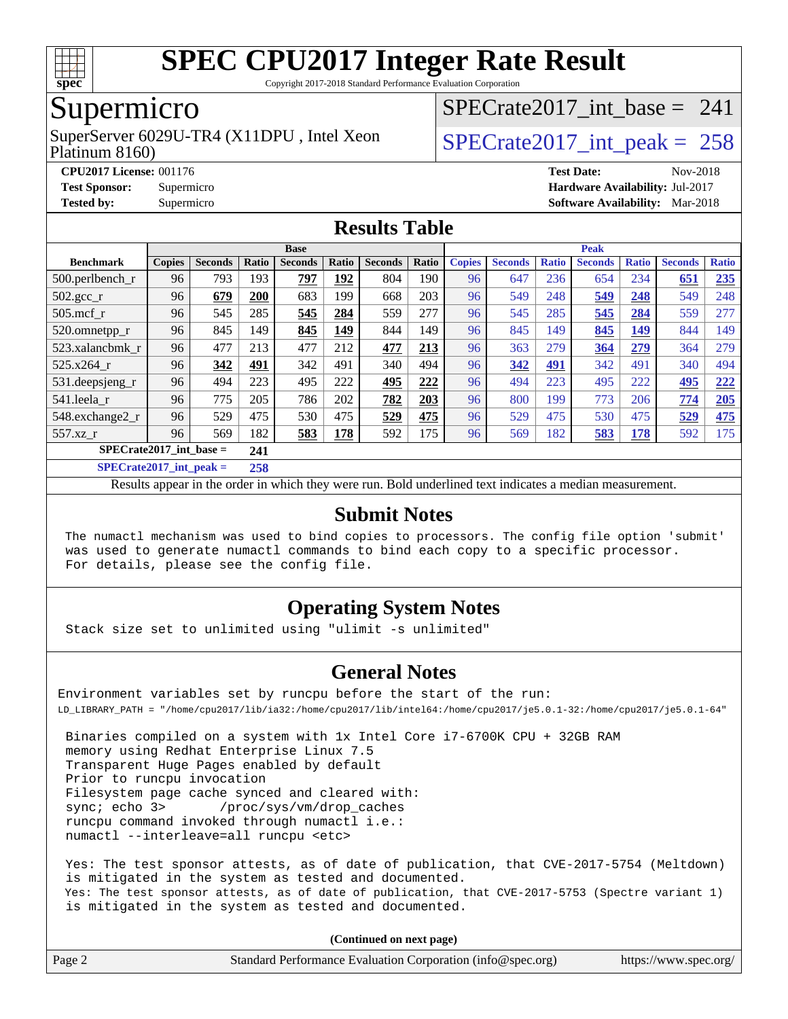

Copyright 2017-2018 Standard Performance Evaluation Corporation

## Supermicro

Platinum 8160) SuperServer  $6029$ U-TR4 (X11DPU, Intel Xeon  $SPECrate2017$  int peak = 258

[SPECrate2017\\_int\\_base =](http://www.spec.org/auto/cpu2017/Docs/result-fields.html#SPECrate2017intbase) 241

**[CPU2017 License:](http://www.spec.org/auto/cpu2017/Docs/result-fields.html#CPU2017License)** 001176 **[Test Date:](http://www.spec.org/auto/cpu2017/Docs/result-fields.html#TestDate)** Nov-2018 **[Test Sponsor:](http://www.spec.org/auto/cpu2017/Docs/result-fields.html#TestSponsor)** Supermicro **[Hardware Availability:](http://www.spec.org/auto/cpu2017/Docs/result-fields.html#HardwareAvailability)** Jul-2017 **[Tested by:](http://www.spec.org/auto/cpu2017/Docs/result-fields.html#Testedby)** Supermicro **[Software Availability:](http://www.spec.org/auto/cpu2017/Docs/result-fields.html#SoftwareAvailability)** Mar-2018

### **[Results Table](http://www.spec.org/auto/cpu2017/Docs/result-fields.html#ResultsTable)**

|                                   | <b>Base</b>   |                |       |                |             | <b>Peak</b>    |       |               |                |              |                |              |                |              |
|-----------------------------------|---------------|----------------|-------|----------------|-------------|----------------|-------|---------------|----------------|--------------|----------------|--------------|----------------|--------------|
| <b>Benchmark</b>                  | <b>Copies</b> | <b>Seconds</b> | Ratio | <b>Seconds</b> | Ratio       | <b>Seconds</b> | Ratio | <b>Copies</b> | <b>Seconds</b> | <b>Ratio</b> | <b>Seconds</b> | <b>Ratio</b> | <b>Seconds</b> | <b>Ratio</b> |
| $500.$ perlbench_r                | 96            | 793            | 193   | 797            | <u> 192</u> | 804            | 190   | 96            | 647            | 236          | 654            | 234          | 651            | 235          |
| $502.\text{gcc}$ <sub>r</sub>     | 96            | 679            | 200   | 683            | 199         | 668            | 203   | 96            | 549            | 248          | 549            | 248          | 549            | 248          |
| $505$ .mcf r                      | 96            | 545            | 285   | 545            | 284         | 559            | 277   | 96            | 545            | 285          | 545            | 284          | 559            | 277          |
| 520.omnetpp_r                     | 96            | 845            | 149   | 845            | 149         | 844            | 149   | 96            | 845            | 149          | 845            | 149          | 844            | 149          |
| 523.xalancbmk r                   | 96            | 477            | 213   | 477            | 212         | 477            | 213   | 96            | 363            | 279          | 364            | 279          | 364            | 279          |
| 525.x264 r                        | 96            | 342            | 491   | 342            | 491         | 340            | 494   | 96            | 342            | 491          | 342            | 491          | 340            | 494          |
| 531.deepsjeng_r                   | 96            | 494            | 223   | 495            | 222         | 495            | 222   | 96            | 494            | 223          | 495            | 222          | 495            | 222          |
| 541.leela r                       | 96            | 775            | 205   | 786            | 202         | 782            | 203   | 96            | 800            | 199          | 773            | 206          | 774            | 205          |
| 548.exchange2_r                   | 96            | 529            | 475   | 530            | 475         | 529            | 475   | 96            | 529            | 475          | 530            | 475          | 529            | <u>475</u>   |
| 557.xz r                          | 96            | 569            | 182   | 583            | 178         | 592            | 175   | 96            | 569            | 182          | 583            | 178          | 592            | 175          |
| $SPECrate2017$ int base =<br>241  |               |                |       |                |             |                |       |               |                |              |                |              |                |              |
| $CDDC_{11}$ (1.4.4.4.4.4.7) $1.1$ |               |                | 20    |                |             |                |       |               |                |              |                |              |                |              |

**[SPECrate2017\\_int\\_peak =](http://www.spec.org/auto/cpu2017/Docs/result-fields.html#SPECrate2017intpeak) 258**

Results appear in the [order in which they were run](http://www.spec.org/auto/cpu2017/Docs/result-fields.html#RunOrder). Bold underlined text [indicates a median measurement](http://www.spec.org/auto/cpu2017/Docs/result-fields.html#Median).

#### **[Submit Notes](http://www.spec.org/auto/cpu2017/Docs/result-fields.html#SubmitNotes)**

 The numactl mechanism was used to bind copies to processors. The config file option 'submit' was used to generate numactl commands to bind each copy to a specific processor. For details, please see the config file.

### **[Operating System Notes](http://www.spec.org/auto/cpu2017/Docs/result-fields.html#OperatingSystemNotes)**

Stack size set to unlimited using "ulimit -s unlimited"

#### **[General Notes](http://www.spec.org/auto/cpu2017/Docs/result-fields.html#GeneralNotes)**

Environment variables set by runcpu before the start of the run: LD\_LIBRARY\_PATH = "/home/cpu2017/lib/ia32:/home/cpu2017/lib/intel64:/home/cpu2017/je5.0.1-32:/home/cpu2017/je5.0.1-64"

 Binaries compiled on a system with 1x Intel Core i7-6700K CPU + 32GB RAM memory using Redhat Enterprise Linux 7.5 Transparent Huge Pages enabled by default Prior to runcpu invocation Filesystem page cache synced and cleared with: sync; echo 3> /proc/sys/vm/drop\_caches runcpu command invoked through numactl i.e.: numactl --interleave=all runcpu <etc>

 Yes: The test sponsor attests, as of date of publication, that CVE-2017-5754 (Meltdown) is mitigated in the system as tested and documented. Yes: The test sponsor attests, as of date of publication, that CVE-2017-5753 (Spectre variant 1) is mitigated in the system as tested and documented.

**(Continued on next page)**

|  | Page 2 | Standard Performance Evaluation Corporation (info@spec.org) | https://www.spec.org/ |
|--|--------|-------------------------------------------------------------|-----------------------|
|--|--------|-------------------------------------------------------------|-----------------------|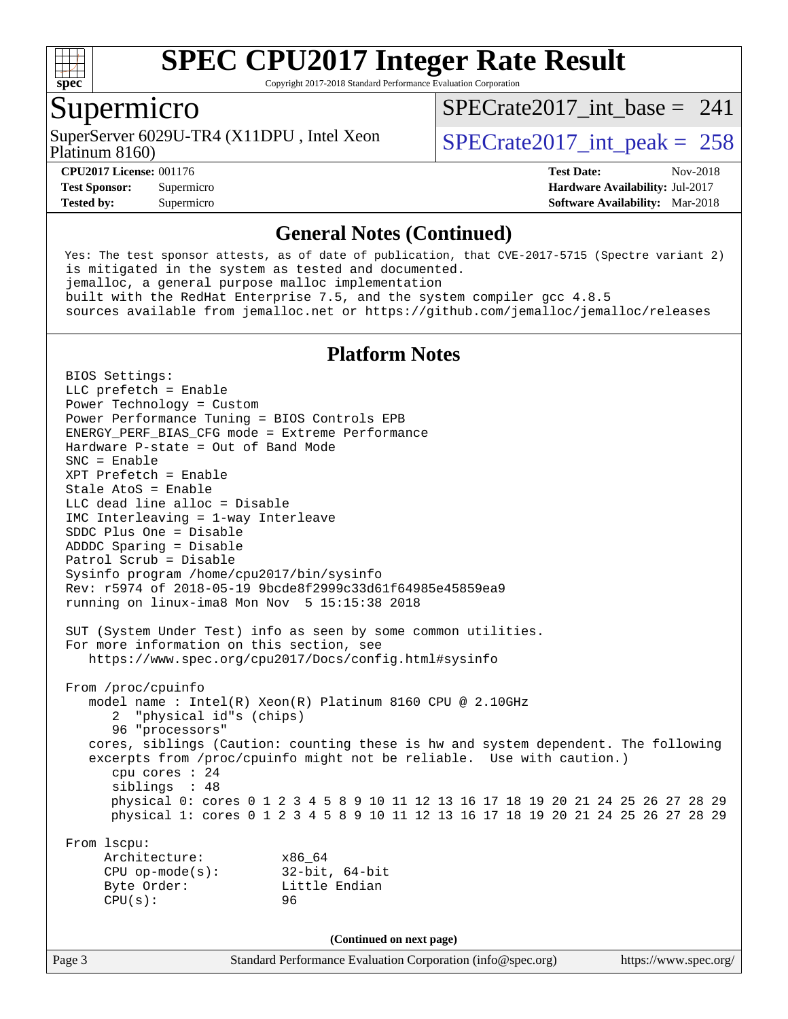

Copyright 2017-2018 Standard Performance Evaluation Corporation

### Supermicro

Platinum 8160) SuperServer  $6029$ U-TR4 (X11DPU, Intel Xeon  $SPECrate2017$  int peak = 258

 $SPECrate2017\_int\_base = 241$ 

**[Tested by:](http://www.spec.org/auto/cpu2017/Docs/result-fields.html#Testedby)** Supermicro **[Software Availability:](http://www.spec.org/auto/cpu2017/Docs/result-fields.html#SoftwareAvailability)** Mar-2018

**[CPU2017 License:](http://www.spec.org/auto/cpu2017/Docs/result-fields.html#CPU2017License)** 001176 **[Test Date:](http://www.spec.org/auto/cpu2017/Docs/result-fields.html#TestDate)** Nov-2018 **[Test Sponsor:](http://www.spec.org/auto/cpu2017/Docs/result-fields.html#TestSponsor)** Supermicro **[Hardware Availability:](http://www.spec.org/auto/cpu2017/Docs/result-fields.html#HardwareAvailability)** Jul-2017

#### **[General Notes \(Continued\)](http://www.spec.org/auto/cpu2017/Docs/result-fields.html#GeneralNotes)**

 Yes: The test sponsor attests, as of date of publication, that CVE-2017-5715 (Spectre variant 2) is mitigated in the system as tested and documented. jemalloc, a general purpose malloc implementation built with the RedHat Enterprise 7.5, and the system compiler gcc 4.8.5 sources available from jemalloc.net or <https://github.com/jemalloc/jemalloc/releases>

#### **[Platform Notes](http://www.spec.org/auto/cpu2017/Docs/result-fields.html#PlatformNotes)**

Page 3 Standard Performance Evaluation Corporation [\(info@spec.org\)](mailto:info@spec.org) <https://www.spec.org/> BIOS Settings: LLC prefetch = Enable Power Technology = Custom Power Performance Tuning = BIOS Controls EPB ENERGY\_PERF\_BIAS\_CFG mode = Extreme Performance Hardware P-state = Out of Band Mode SNC = Enable XPT Prefetch = Enable Stale AtoS = Enable LLC dead line alloc = Disable IMC Interleaving = 1-way Interleave SDDC Plus One = Disable ADDDC Sparing = Disable Patrol Scrub = Disable Sysinfo program /home/cpu2017/bin/sysinfo Rev: r5974 of 2018-05-19 9bcde8f2999c33d61f64985e45859ea9 running on linux-ima8 Mon Nov 5 15:15:38 2018 SUT (System Under Test) info as seen by some common utilities. For more information on this section, see <https://www.spec.org/cpu2017/Docs/config.html#sysinfo> From /proc/cpuinfo model name : Intel(R) Xeon(R) Platinum 8160 CPU @ 2.10GHz 2 "physical id"s (chips) 96 "processors" cores, siblings (Caution: counting these is hw and system dependent. The following excerpts from /proc/cpuinfo might not be reliable. Use with caution.) cpu cores : 24 siblings : 48 physical 0: cores 0 1 2 3 4 5 8 9 10 11 12 13 16 17 18 19 20 21 24 25 26 27 28 29 physical 1: cores 0 1 2 3 4 5 8 9 10 11 12 13 16 17 18 19 20 21 24 25 26 27 28 29 From lscpu: Architecture: x86\_64 CPU op-mode(s): 32-bit, 64-bit Byte Order: Little Endian CPU(s): 96 **(Continued on next page)**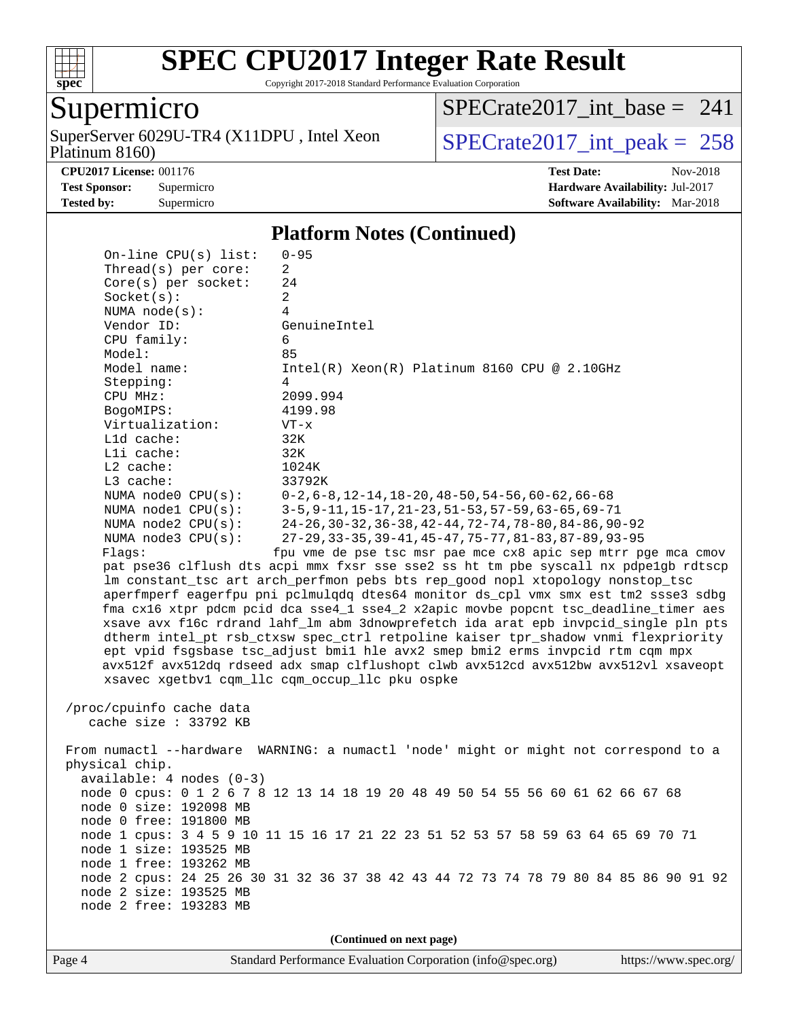

Copyright 2017-2018 Standard Performance Evaluation Corporation

# Supermicro

Platinum 8160) SuperServer 6029U-TR4 (X11DPU, Intel Xeon  $SPECrate2017\_int\_peak = 258$ 

 $SPECrate2017\_int\_base = 241$ 

**[CPU2017 License:](http://www.spec.org/auto/cpu2017/Docs/result-fields.html#CPU2017License)** 001176 **[Test Date:](http://www.spec.org/auto/cpu2017/Docs/result-fields.html#TestDate)** Nov-2018

**[Test Sponsor:](http://www.spec.org/auto/cpu2017/Docs/result-fields.html#TestSponsor)** Supermicro **[Hardware Availability:](http://www.spec.org/auto/cpu2017/Docs/result-fields.html#HardwareAvailability)** Jul-2017 **[Tested by:](http://www.spec.org/auto/cpu2017/Docs/result-fields.html#Testedby)** Supermicro **[Software Availability:](http://www.spec.org/auto/cpu2017/Docs/result-fields.html#SoftwareAvailability)** Mar-2018

#### **[Platform Notes \(Continued\)](http://www.spec.org/auto/cpu2017/Docs/result-fields.html#PlatformNotes)**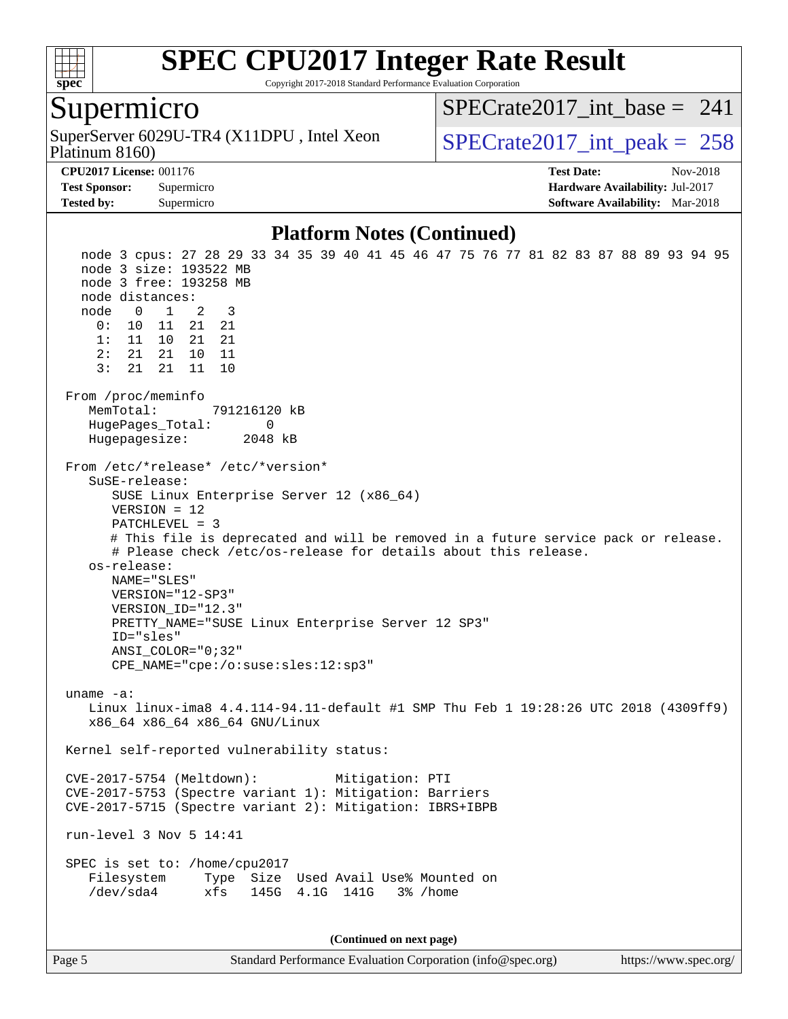

Copyright 2017-2018 Standard Performance Evaluation Corporation

### Supermicro

Platinum 8160) SuperServer  $6029$ U-TR4 (X11DPU, Intel Xeon  $SPECrate2017$  int peak = 258

 $SPECrate2017\_int\_base = 241$ 

**[CPU2017 License:](http://www.spec.org/auto/cpu2017/Docs/result-fields.html#CPU2017License)** 001176 **[Test Date:](http://www.spec.org/auto/cpu2017/Docs/result-fields.html#TestDate)** Nov-2018

**[Test Sponsor:](http://www.spec.org/auto/cpu2017/Docs/result-fields.html#TestSponsor)** Supermicro **[Hardware Availability:](http://www.spec.org/auto/cpu2017/Docs/result-fields.html#HardwareAvailability)** Jul-2017 **[Tested by:](http://www.spec.org/auto/cpu2017/Docs/result-fields.html#Testedby)** Supermicro **[Software Availability:](http://www.spec.org/auto/cpu2017/Docs/result-fields.html#SoftwareAvailability)** Mar-2018

#### **[Platform Notes \(Continued\)](http://www.spec.org/auto/cpu2017/Docs/result-fields.html#PlatformNotes)**

 node 3 cpus: 27 28 29 33 34 35 39 40 41 45 46 47 75 76 77 81 82 83 87 88 89 93 94 95 node 3 size: 193522 MB node 3 free: 193258 MB node distances: node 0 1 2 3 0: 10 11 21 21 1: 11 10 21 21 2: 21 21 10 11 3: 21 21 11 10 From /proc/meminfo MemTotal: 791216120 kB HugePages\_Total: 0 Hugepagesize: 2048 kB From /etc/\*release\* /etc/\*version\* SuSE-release: SUSE Linux Enterprise Server 12 (x86\_64) VERSION = 12 PATCHLEVEL = 3 # This file is deprecated and will be removed in a future service pack or release. # Please check /etc/os-release for details about this release. os-release: NAME="SLES" VERSION="12-SP3" VERSION\_ID="12.3" PRETTY\_NAME="SUSE Linux Enterprise Server 12 SP3" ID="sles" ANSI\_COLOR="0;32" CPE\_NAME="cpe:/o:suse:sles:12:sp3" uname -a: Linux linux-ima8 4.4.114-94.11-default #1 SMP Thu Feb 1 19:28:26 UTC 2018 (4309ff9) x86\_64 x86\_64 x86\_64 GNU/Linux Kernel self-reported vulnerability status: CVE-2017-5754 (Meltdown): Mitigation: PTI CVE-2017-5753 (Spectre variant 1): Mitigation: Barriers CVE-2017-5715 (Spectre variant 2): Mitigation: IBRS+IBPB run-level 3 Nov 5 14:41 SPEC is set to: /home/cpu2017 Filesystem Type Size Used Avail Use% Mounted on /dev/sda4 xfs 145G 4.1G 141G 3% /home **(Continued on next page)**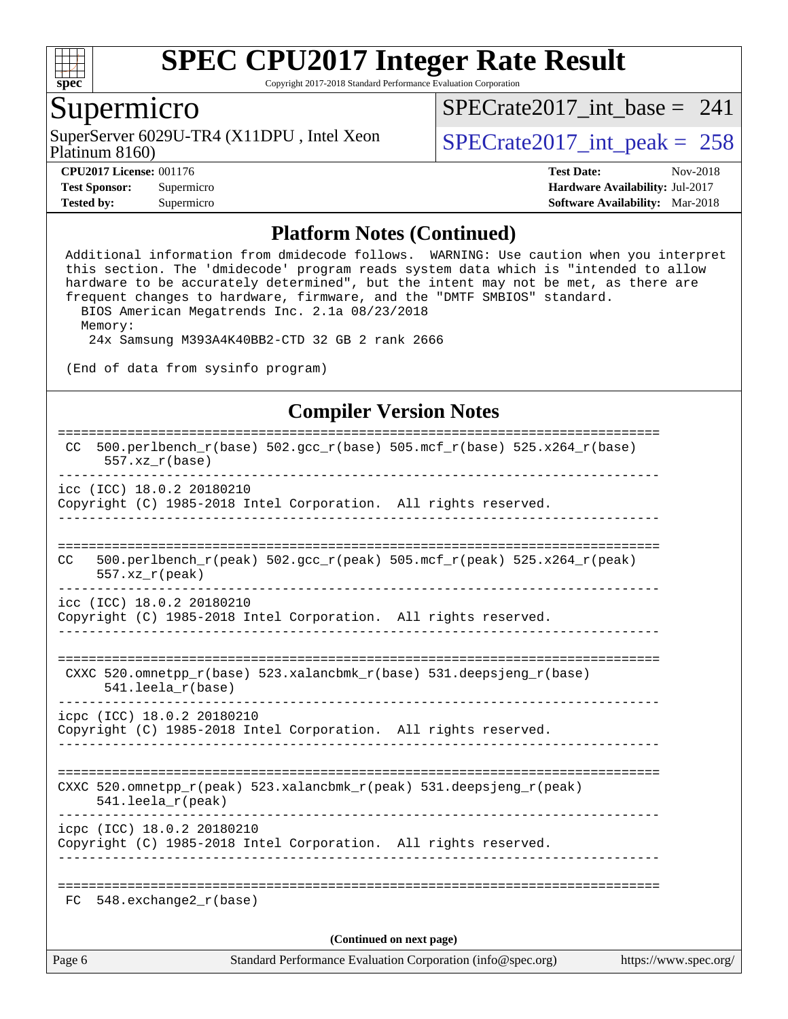

Copyright 2017-2018 Standard Performance Evaluation Corporation

## Supermicro

Platinum 8160) SuperServer  $6029$ U-TR4 (X11DPU, Intel Xeon  $SPECrate2017\_int\_peak = 258$ 

[SPECrate2017\\_int\\_base =](http://www.spec.org/auto/cpu2017/Docs/result-fields.html#SPECrate2017intbase) 241

**[Tested by:](http://www.spec.org/auto/cpu2017/Docs/result-fields.html#Testedby)** Supermicro **[Software Availability:](http://www.spec.org/auto/cpu2017/Docs/result-fields.html#SoftwareAvailability)** Mar-2018

**[CPU2017 License:](http://www.spec.org/auto/cpu2017/Docs/result-fields.html#CPU2017License)** 001176 **[Test Date:](http://www.spec.org/auto/cpu2017/Docs/result-fields.html#TestDate)** Nov-2018 **[Test Sponsor:](http://www.spec.org/auto/cpu2017/Docs/result-fields.html#TestSponsor)** Supermicro **[Hardware Availability:](http://www.spec.org/auto/cpu2017/Docs/result-fields.html#HardwareAvailability)** Jul-2017

#### **[Platform Notes \(Continued\)](http://www.spec.org/auto/cpu2017/Docs/result-fields.html#PlatformNotes)**

 Additional information from dmidecode follows. WARNING: Use caution when you interpret this section. The 'dmidecode' program reads system data which is "intended to allow hardware to be accurately determined", but the intent may not be met, as there are frequent changes to hardware, firmware, and the "DMTF SMBIOS" standard. BIOS American Megatrends Inc. 2.1a 08/23/2018 Memory: 24x Samsung M393A4K40BB2-CTD 32 GB 2 rank 2666

(End of data from sysinfo program)

#### **[Compiler Version Notes](http://www.spec.org/auto/cpu2017/Docs/result-fields.html#CompilerVersionNotes)**

| Page 6                   | Standard Performance Evaluation Corporation (info@spec.org)<br>https://www.spec.org/                  |  |  |  |  |
|--------------------------|-------------------------------------------------------------------------------------------------------|--|--|--|--|
| (Continued on next page) |                                                                                                       |  |  |  |  |
|                          | $FC$ 548. exchange2 $r(base)$                                                                         |  |  |  |  |
|                          | icpc (ICC) 18.0.2 20180210<br>Copyright (C) 1985-2018 Intel Corporation. All rights reserved.         |  |  |  |  |
|                          | CXXC 520.omnetpp_r(peak) 523.xalancbmk_r(peak) 531.deepsjeng_r(peak)<br>541.leela_r(peak)             |  |  |  |  |
|                          | icpc (ICC) 18.0.2 20180210<br>Copyright (C) 1985-2018 Intel Corporation. All rights reserved.         |  |  |  |  |
|                          | CXXC 520.omnetpp $r(base)$ 523.xalancbmk $r(base)$ 531.deepsjeng $r(base)$<br>$541.$ leela_r(base)    |  |  |  |  |
|                          | icc (ICC) 18.0.2 20180210<br>Copyright (C) 1985-2018 Intel Corporation. All rights reserved.          |  |  |  |  |
| CC.                      | $500.perlbench_r(peak)$ $502.gcc_r(peak)$ $505.mcf_r(peak)$ $525. x264_r(peak)$<br>$557. xz_r (peak)$ |  |  |  |  |
|                          | icc (ICC) 18.0.2 20180210<br>Copyright (C) 1985-2018 Intel Corporation. All rights reserved.          |  |  |  |  |
| CC.                      | 500.perlbench_r(base) 502.gcc_r(base) 505.mcf_r(base) 525.x264_r(base)<br>$557. xz_r(base)$           |  |  |  |  |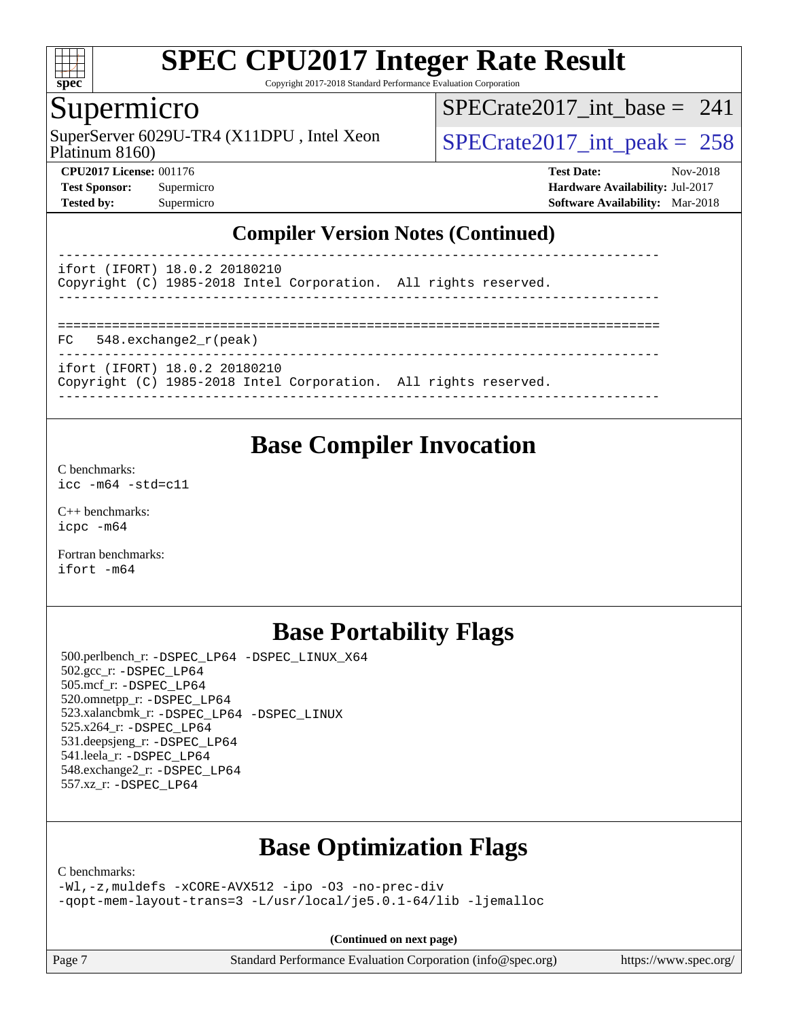

Copyright 2017-2018 Standard Performance Evaluation Corporation

## Supermicro

Platinum 8160) SuperServer  $6029$ U-TR4 (X11DPU, Intel Xeon  $SPECrate2017$  int peak = 258

[SPECrate2017\\_int\\_base =](http://www.spec.org/auto/cpu2017/Docs/result-fields.html#SPECrate2017intbase) 241

**[CPU2017 License:](http://www.spec.org/auto/cpu2017/Docs/result-fields.html#CPU2017License)** 001176 **[Test Date:](http://www.spec.org/auto/cpu2017/Docs/result-fields.html#TestDate)** Nov-2018 **[Test Sponsor:](http://www.spec.org/auto/cpu2017/Docs/result-fields.html#TestSponsor)** Supermicro **[Hardware Availability:](http://www.spec.org/auto/cpu2017/Docs/result-fields.html#HardwareAvailability)** Jul-2017 **[Tested by:](http://www.spec.org/auto/cpu2017/Docs/result-fields.html#Testedby)** Supermicro **[Software Availability:](http://www.spec.org/auto/cpu2017/Docs/result-fields.html#SoftwareAvailability)** Mar-2018

### **[Compiler Version Notes \(Continued\)](http://www.spec.org/auto/cpu2017/Docs/result-fields.html#CompilerVersionNotes)**

----------------------------------------------------------------------------- ifort (IFORT) 18.0.2 20180210 Copyright (C) 1985-2018 Intel Corporation. All rights reserved. ------------------------------------------------------------------------------ ============================================================================== FC 548.exchange2\_r(peak) ----------------------------------------------------------------------------- ifort (IFORT) 18.0.2 20180210

Copyright (C) 1985-2018 Intel Corporation. All rights reserved. ------------------------------------------------------------------------------

# **[Base Compiler Invocation](http://www.spec.org/auto/cpu2017/Docs/result-fields.html#BaseCompilerInvocation)**

[C benchmarks](http://www.spec.org/auto/cpu2017/Docs/result-fields.html#Cbenchmarks): [icc -m64 -std=c11](http://www.spec.org/cpu2017/results/res2018q4/cpu2017-20181112-09655.flags.html#user_CCbase_intel_icc_64bit_c11_33ee0cdaae7deeeab2a9725423ba97205ce30f63b9926c2519791662299b76a0318f32ddfffdc46587804de3178b4f9328c46fa7c2b0cd779d7a61945c91cd35)

[C++ benchmarks:](http://www.spec.org/auto/cpu2017/Docs/result-fields.html#CXXbenchmarks) [icpc -m64](http://www.spec.org/cpu2017/results/res2018q4/cpu2017-20181112-09655.flags.html#user_CXXbase_intel_icpc_64bit_4ecb2543ae3f1412ef961e0650ca070fec7b7afdcd6ed48761b84423119d1bf6bdf5cad15b44d48e7256388bc77273b966e5eb805aefd121eb22e9299b2ec9d9)

[Fortran benchmarks](http://www.spec.org/auto/cpu2017/Docs/result-fields.html#Fortranbenchmarks): [ifort -m64](http://www.spec.org/cpu2017/results/res2018q4/cpu2017-20181112-09655.flags.html#user_FCbase_intel_ifort_64bit_24f2bb282fbaeffd6157abe4f878425411749daecae9a33200eee2bee2fe76f3b89351d69a8130dd5949958ce389cf37ff59a95e7a40d588e8d3a57e0c3fd751)

# **[Base Portability Flags](http://www.spec.org/auto/cpu2017/Docs/result-fields.html#BasePortabilityFlags)**

 500.perlbench\_r: [-DSPEC\\_LP64](http://www.spec.org/cpu2017/results/res2018q4/cpu2017-20181112-09655.flags.html#b500.perlbench_r_basePORTABILITY_DSPEC_LP64) [-DSPEC\\_LINUX\\_X64](http://www.spec.org/cpu2017/results/res2018q4/cpu2017-20181112-09655.flags.html#b500.perlbench_r_baseCPORTABILITY_DSPEC_LINUX_X64) 502.gcc\_r: [-DSPEC\\_LP64](http://www.spec.org/cpu2017/results/res2018q4/cpu2017-20181112-09655.flags.html#suite_basePORTABILITY502_gcc_r_DSPEC_LP64) 505.mcf\_r: [-DSPEC\\_LP64](http://www.spec.org/cpu2017/results/res2018q4/cpu2017-20181112-09655.flags.html#suite_basePORTABILITY505_mcf_r_DSPEC_LP64) 520.omnetpp\_r: [-DSPEC\\_LP64](http://www.spec.org/cpu2017/results/res2018q4/cpu2017-20181112-09655.flags.html#suite_basePORTABILITY520_omnetpp_r_DSPEC_LP64) 523.xalancbmk\_r: [-DSPEC\\_LP64](http://www.spec.org/cpu2017/results/res2018q4/cpu2017-20181112-09655.flags.html#suite_basePORTABILITY523_xalancbmk_r_DSPEC_LP64) [-DSPEC\\_LINUX](http://www.spec.org/cpu2017/results/res2018q4/cpu2017-20181112-09655.flags.html#b523.xalancbmk_r_baseCXXPORTABILITY_DSPEC_LINUX) 525.x264\_r: [-DSPEC\\_LP64](http://www.spec.org/cpu2017/results/res2018q4/cpu2017-20181112-09655.flags.html#suite_basePORTABILITY525_x264_r_DSPEC_LP64) 531.deepsjeng\_r: [-DSPEC\\_LP64](http://www.spec.org/cpu2017/results/res2018q4/cpu2017-20181112-09655.flags.html#suite_basePORTABILITY531_deepsjeng_r_DSPEC_LP64) 541.leela\_r: [-DSPEC\\_LP64](http://www.spec.org/cpu2017/results/res2018q4/cpu2017-20181112-09655.flags.html#suite_basePORTABILITY541_leela_r_DSPEC_LP64) 548.exchange2\_r: [-DSPEC\\_LP64](http://www.spec.org/cpu2017/results/res2018q4/cpu2017-20181112-09655.flags.html#suite_basePORTABILITY548_exchange2_r_DSPEC_LP64) 557.xz\_r: [-DSPEC\\_LP64](http://www.spec.org/cpu2017/results/res2018q4/cpu2017-20181112-09655.flags.html#suite_basePORTABILITY557_xz_r_DSPEC_LP64)

# **[Base Optimization Flags](http://www.spec.org/auto/cpu2017/Docs/result-fields.html#BaseOptimizationFlags)**

[C benchmarks](http://www.spec.org/auto/cpu2017/Docs/result-fields.html#Cbenchmarks):

[-Wl,-z,muldefs](http://www.spec.org/cpu2017/results/res2018q4/cpu2017-20181112-09655.flags.html#user_CCbase_link_force_multiple1_b4cbdb97b34bdee9ceefcfe54f4c8ea74255f0b02a4b23e853cdb0e18eb4525ac79b5a88067c842dd0ee6996c24547a27a4b99331201badda8798ef8a743f577) [-xCORE-AVX512](http://www.spec.org/cpu2017/results/res2018q4/cpu2017-20181112-09655.flags.html#user_CCbase_f-xCORE-AVX512) [-ipo](http://www.spec.org/cpu2017/results/res2018q4/cpu2017-20181112-09655.flags.html#user_CCbase_f-ipo) [-O3](http://www.spec.org/cpu2017/results/res2018q4/cpu2017-20181112-09655.flags.html#user_CCbase_f-O3) [-no-prec-div](http://www.spec.org/cpu2017/results/res2018q4/cpu2017-20181112-09655.flags.html#user_CCbase_f-no-prec-div) [-qopt-mem-layout-trans=3](http://www.spec.org/cpu2017/results/res2018q4/cpu2017-20181112-09655.flags.html#user_CCbase_f-qopt-mem-layout-trans_de80db37974c74b1f0e20d883f0b675c88c3b01e9d123adea9b28688d64333345fb62bc4a798493513fdb68f60282f9a726aa07f478b2f7113531aecce732043) [-L/usr/local/je5.0.1-64/lib](http://www.spec.org/cpu2017/results/res2018q4/cpu2017-20181112-09655.flags.html#user_CCbase_jemalloc_link_path64_4b10a636b7bce113509b17f3bd0d6226c5fb2346b9178c2d0232c14f04ab830f976640479e5c33dc2bcbbdad86ecfb6634cbbd4418746f06f368b512fced5394) [-ljemalloc](http://www.spec.org/cpu2017/results/res2018q4/cpu2017-20181112-09655.flags.html#user_CCbase_jemalloc_link_lib_d1249b907c500fa1c0672f44f562e3d0f79738ae9e3c4a9c376d49f265a04b9c99b167ecedbf6711b3085be911c67ff61f150a17b3472be731631ba4d0471706)

**(Continued on next page)**

Page 7 Standard Performance Evaluation Corporation [\(info@spec.org\)](mailto:info@spec.org) <https://www.spec.org/>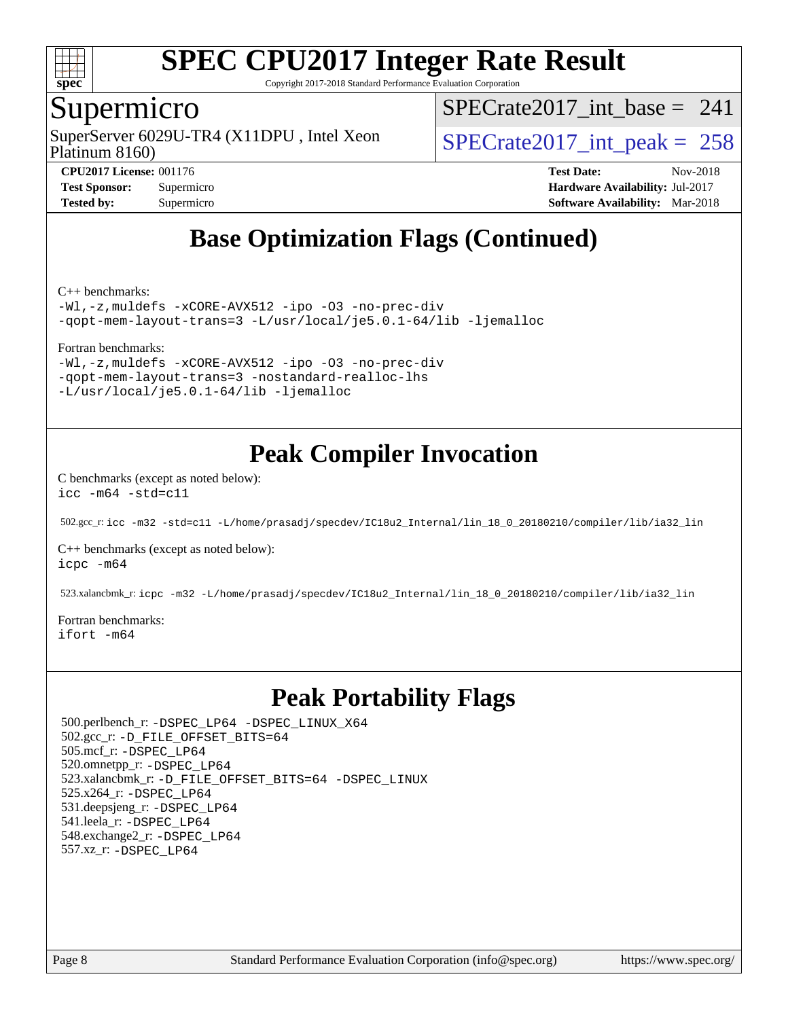

Copyright 2017-2018 Standard Performance Evaluation Corporation

## Supermicro

Platinum 8160) SuperServer  $6029$ U-TR4 (X11DPU, Intel Xeon  $SPECrate2017$  int peak = 258

[SPECrate2017\\_int\\_base =](http://www.spec.org/auto/cpu2017/Docs/result-fields.html#SPECrate2017intbase) 241

**[CPU2017 License:](http://www.spec.org/auto/cpu2017/Docs/result-fields.html#CPU2017License)** 001176 **[Test Date:](http://www.spec.org/auto/cpu2017/Docs/result-fields.html#TestDate)** Nov-2018 **[Test Sponsor:](http://www.spec.org/auto/cpu2017/Docs/result-fields.html#TestSponsor)** Supermicro **[Hardware Availability:](http://www.spec.org/auto/cpu2017/Docs/result-fields.html#HardwareAvailability)** Jul-2017 **[Tested by:](http://www.spec.org/auto/cpu2017/Docs/result-fields.html#Testedby)** Supermicro **[Software Availability:](http://www.spec.org/auto/cpu2017/Docs/result-fields.html#SoftwareAvailability)** Mar-2018

# **[Base Optimization Flags \(Continued\)](http://www.spec.org/auto/cpu2017/Docs/result-fields.html#BaseOptimizationFlags)**

[C++ benchmarks:](http://www.spec.org/auto/cpu2017/Docs/result-fields.html#CXXbenchmarks)

[-Wl,-z,muldefs](http://www.spec.org/cpu2017/results/res2018q4/cpu2017-20181112-09655.flags.html#user_CXXbase_link_force_multiple1_b4cbdb97b34bdee9ceefcfe54f4c8ea74255f0b02a4b23e853cdb0e18eb4525ac79b5a88067c842dd0ee6996c24547a27a4b99331201badda8798ef8a743f577) [-xCORE-AVX512](http://www.spec.org/cpu2017/results/res2018q4/cpu2017-20181112-09655.flags.html#user_CXXbase_f-xCORE-AVX512) [-ipo](http://www.spec.org/cpu2017/results/res2018q4/cpu2017-20181112-09655.flags.html#user_CXXbase_f-ipo) [-O3](http://www.spec.org/cpu2017/results/res2018q4/cpu2017-20181112-09655.flags.html#user_CXXbase_f-O3) [-no-prec-div](http://www.spec.org/cpu2017/results/res2018q4/cpu2017-20181112-09655.flags.html#user_CXXbase_f-no-prec-div) [-qopt-mem-layout-trans=3](http://www.spec.org/cpu2017/results/res2018q4/cpu2017-20181112-09655.flags.html#user_CXXbase_f-qopt-mem-layout-trans_de80db37974c74b1f0e20d883f0b675c88c3b01e9d123adea9b28688d64333345fb62bc4a798493513fdb68f60282f9a726aa07f478b2f7113531aecce732043) [-L/usr/local/je5.0.1-64/lib](http://www.spec.org/cpu2017/results/res2018q4/cpu2017-20181112-09655.flags.html#user_CXXbase_jemalloc_link_path64_4b10a636b7bce113509b17f3bd0d6226c5fb2346b9178c2d0232c14f04ab830f976640479e5c33dc2bcbbdad86ecfb6634cbbd4418746f06f368b512fced5394) [-ljemalloc](http://www.spec.org/cpu2017/results/res2018q4/cpu2017-20181112-09655.flags.html#user_CXXbase_jemalloc_link_lib_d1249b907c500fa1c0672f44f562e3d0f79738ae9e3c4a9c376d49f265a04b9c99b167ecedbf6711b3085be911c67ff61f150a17b3472be731631ba4d0471706)

#### [Fortran benchmarks](http://www.spec.org/auto/cpu2017/Docs/result-fields.html#Fortranbenchmarks):

[-Wl,-z,muldefs](http://www.spec.org/cpu2017/results/res2018q4/cpu2017-20181112-09655.flags.html#user_FCbase_link_force_multiple1_b4cbdb97b34bdee9ceefcfe54f4c8ea74255f0b02a4b23e853cdb0e18eb4525ac79b5a88067c842dd0ee6996c24547a27a4b99331201badda8798ef8a743f577) [-xCORE-AVX512](http://www.spec.org/cpu2017/results/res2018q4/cpu2017-20181112-09655.flags.html#user_FCbase_f-xCORE-AVX512) [-ipo](http://www.spec.org/cpu2017/results/res2018q4/cpu2017-20181112-09655.flags.html#user_FCbase_f-ipo) [-O3](http://www.spec.org/cpu2017/results/res2018q4/cpu2017-20181112-09655.flags.html#user_FCbase_f-O3) [-no-prec-div](http://www.spec.org/cpu2017/results/res2018q4/cpu2017-20181112-09655.flags.html#user_FCbase_f-no-prec-div) [-qopt-mem-layout-trans=3](http://www.spec.org/cpu2017/results/res2018q4/cpu2017-20181112-09655.flags.html#user_FCbase_f-qopt-mem-layout-trans_de80db37974c74b1f0e20d883f0b675c88c3b01e9d123adea9b28688d64333345fb62bc4a798493513fdb68f60282f9a726aa07f478b2f7113531aecce732043) [-nostandard-realloc-lhs](http://www.spec.org/cpu2017/results/res2018q4/cpu2017-20181112-09655.flags.html#user_FCbase_f_2003_std_realloc_82b4557e90729c0f113870c07e44d33d6f5a304b4f63d4c15d2d0f1fab99f5daaed73bdb9275d9ae411527f28b936061aa8b9c8f2d63842963b95c9dd6426b8a) [-L/usr/local/je5.0.1-64/lib](http://www.spec.org/cpu2017/results/res2018q4/cpu2017-20181112-09655.flags.html#user_FCbase_jemalloc_link_path64_4b10a636b7bce113509b17f3bd0d6226c5fb2346b9178c2d0232c14f04ab830f976640479e5c33dc2bcbbdad86ecfb6634cbbd4418746f06f368b512fced5394) [-ljemalloc](http://www.spec.org/cpu2017/results/res2018q4/cpu2017-20181112-09655.flags.html#user_FCbase_jemalloc_link_lib_d1249b907c500fa1c0672f44f562e3d0f79738ae9e3c4a9c376d49f265a04b9c99b167ecedbf6711b3085be911c67ff61f150a17b3472be731631ba4d0471706)

# **[Peak Compiler Invocation](http://www.spec.org/auto/cpu2017/Docs/result-fields.html#PeakCompilerInvocation)**

[C benchmarks \(except as noted below\)](http://www.spec.org/auto/cpu2017/Docs/result-fields.html#Cbenchmarksexceptasnotedbelow): [icc -m64 -std=c11](http://www.spec.org/cpu2017/results/res2018q4/cpu2017-20181112-09655.flags.html#user_CCpeak_intel_icc_64bit_c11_33ee0cdaae7deeeab2a9725423ba97205ce30f63b9926c2519791662299b76a0318f32ddfffdc46587804de3178b4f9328c46fa7c2b0cd779d7a61945c91cd35)

502.gcc\_r: [icc -m32 -std=c11 -L/home/prasadj/specdev/IC18u2\\_Internal/lin\\_18\\_0\\_20180210/compiler/lib/ia32\\_lin](http://www.spec.org/cpu2017/results/res2018q4/cpu2017-20181112-09655.flags.html#user_peakCCLD502_gcc_r_intel_icc_a481ac844e7127046fad14d498c730a1848fa901fbbb2c3dfdd5e9fbbac777c8009953946d55d8b6afe8ed0da70dd2b4f8dedbdf7ab1ee211ba70d24a5d89f85)

[C++ benchmarks \(except as noted below\):](http://www.spec.org/auto/cpu2017/Docs/result-fields.html#CXXbenchmarksexceptasnotedbelow) [icpc -m64](http://www.spec.org/cpu2017/results/res2018q4/cpu2017-20181112-09655.flags.html#user_CXXpeak_intel_icpc_64bit_4ecb2543ae3f1412ef961e0650ca070fec7b7afdcd6ed48761b84423119d1bf6bdf5cad15b44d48e7256388bc77273b966e5eb805aefd121eb22e9299b2ec9d9)

523.xalancbmk\_r: [icpc -m32 -L/home/prasadj/specdev/IC18u2\\_Internal/lin\\_18\\_0\\_20180210/compiler/lib/ia32\\_lin](http://www.spec.org/cpu2017/results/res2018q4/cpu2017-20181112-09655.flags.html#user_peakCXXLD523_xalancbmk_r_intel_icpc_c6d030cd79af6ea7d6fb64c57e8fe7ae8fe0b96fc5a3b3f4a10e3273b3d7fa9decd8263f6330cef23f751cb093a69fae84a2bf4c243500a8eed069248128076f)

[Fortran benchmarks](http://www.spec.org/auto/cpu2017/Docs/result-fields.html#Fortranbenchmarks): [ifort -m64](http://www.spec.org/cpu2017/results/res2018q4/cpu2017-20181112-09655.flags.html#user_FCpeak_intel_ifort_64bit_24f2bb282fbaeffd6157abe4f878425411749daecae9a33200eee2bee2fe76f3b89351d69a8130dd5949958ce389cf37ff59a95e7a40d588e8d3a57e0c3fd751)

# **[Peak Portability Flags](http://www.spec.org/auto/cpu2017/Docs/result-fields.html#PeakPortabilityFlags)**

 500.perlbench\_r: [-DSPEC\\_LP64](http://www.spec.org/cpu2017/results/res2018q4/cpu2017-20181112-09655.flags.html#b500.perlbench_r_peakPORTABILITY_DSPEC_LP64) [-DSPEC\\_LINUX\\_X64](http://www.spec.org/cpu2017/results/res2018q4/cpu2017-20181112-09655.flags.html#b500.perlbench_r_peakCPORTABILITY_DSPEC_LINUX_X64) 502.gcc\_r: [-D\\_FILE\\_OFFSET\\_BITS=64](http://www.spec.org/cpu2017/results/res2018q4/cpu2017-20181112-09655.flags.html#user_peakPORTABILITY502_gcc_r_file_offset_bits_64_5ae949a99b284ddf4e95728d47cb0843d81b2eb0e18bdfe74bbf0f61d0b064f4bda2f10ea5eb90e1dcab0e84dbc592acfc5018bc955c18609f94ddb8d550002c) 505.mcf\_r: [-DSPEC\\_LP64](http://www.spec.org/cpu2017/results/res2018q4/cpu2017-20181112-09655.flags.html#suite_peakPORTABILITY505_mcf_r_DSPEC_LP64) 520.omnetpp\_r: [-DSPEC\\_LP64](http://www.spec.org/cpu2017/results/res2018q4/cpu2017-20181112-09655.flags.html#suite_peakPORTABILITY520_omnetpp_r_DSPEC_LP64) 523.xalancbmk\_r: [-D\\_FILE\\_OFFSET\\_BITS=64](http://www.spec.org/cpu2017/results/res2018q4/cpu2017-20181112-09655.flags.html#user_peakPORTABILITY523_xalancbmk_r_file_offset_bits_64_5ae949a99b284ddf4e95728d47cb0843d81b2eb0e18bdfe74bbf0f61d0b064f4bda2f10ea5eb90e1dcab0e84dbc592acfc5018bc955c18609f94ddb8d550002c) [-DSPEC\\_LINUX](http://www.spec.org/cpu2017/results/res2018q4/cpu2017-20181112-09655.flags.html#b523.xalancbmk_r_peakCXXPORTABILITY_DSPEC_LINUX) 525.x264\_r: [-DSPEC\\_LP64](http://www.spec.org/cpu2017/results/res2018q4/cpu2017-20181112-09655.flags.html#suite_peakPORTABILITY525_x264_r_DSPEC_LP64) 531.deepsjeng\_r: [-DSPEC\\_LP64](http://www.spec.org/cpu2017/results/res2018q4/cpu2017-20181112-09655.flags.html#suite_peakPORTABILITY531_deepsjeng_r_DSPEC_LP64) 541.leela\_r: [-DSPEC\\_LP64](http://www.spec.org/cpu2017/results/res2018q4/cpu2017-20181112-09655.flags.html#suite_peakPORTABILITY541_leela_r_DSPEC_LP64) 548.exchange2\_r: [-DSPEC\\_LP64](http://www.spec.org/cpu2017/results/res2018q4/cpu2017-20181112-09655.flags.html#suite_peakPORTABILITY548_exchange2_r_DSPEC_LP64) 557.xz\_r: [-DSPEC\\_LP64](http://www.spec.org/cpu2017/results/res2018q4/cpu2017-20181112-09655.flags.html#suite_peakPORTABILITY557_xz_r_DSPEC_LP64)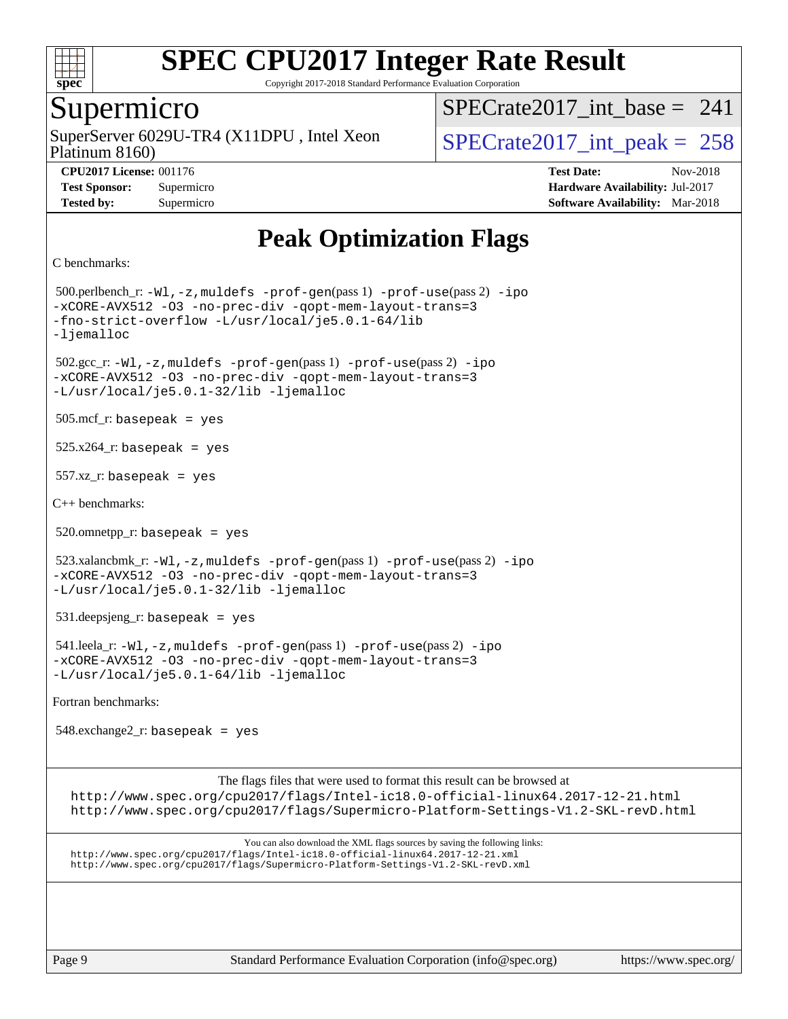

Copyright 2017-2018 Standard Performance Evaluation Corporation

## Supermicro

Platinum 8160) SuperServer  $6029$ U-TR4 (X11DPU, Intel Xeon  $SPECrate2017$  int peak = 258

 $SPECrate2017\_int\_base = 241$ 

**[CPU2017 License:](http://www.spec.org/auto/cpu2017/Docs/result-fields.html#CPU2017License)** 001176 **[Test Date:](http://www.spec.org/auto/cpu2017/Docs/result-fields.html#TestDate)** Nov-2018 **[Test Sponsor:](http://www.spec.org/auto/cpu2017/Docs/result-fields.html#TestSponsor)** Supermicro **[Hardware Availability:](http://www.spec.org/auto/cpu2017/Docs/result-fields.html#HardwareAvailability)** Jul-2017 **[Tested by:](http://www.spec.org/auto/cpu2017/Docs/result-fields.html#Testedby)** Supermicro **[Software Availability:](http://www.spec.org/auto/cpu2017/Docs/result-fields.html#SoftwareAvailability)** Mar-2018

# **[Peak Optimization Flags](http://www.spec.org/auto/cpu2017/Docs/result-fields.html#PeakOptimizationFlags)**

```
C benchmarks:
```
 500.perlbench\_r: [-Wl,-z,muldefs](http://www.spec.org/cpu2017/results/res2018q4/cpu2017-20181112-09655.flags.html#user_peakEXTRA_LDFLAGS500_perlbench_r_link_force_multiple1_b4cbdb97b34bdee9ceefcfe54f4c8ea74255f0b02a4b23e853cdb0e18eb4525ac79b5a88067c842dd0ee6996c24547a27a4b99331201badda8798ef8a743f577) [-prof-gen](http://www.spec.org/cpu2017/results/res2018q4/cpu2017-20181112-09655.flags.html#user_peakPASS1_CFLAGSPASS1_LDFLAGS500_perlbench_r_prof_gen_5aa4926d6013ddb2a31985c654b3eb18169fc0c6952a63635c234f711e6e63dd76e94ad52365559451ec499a2cdb89e4dc58ba4c67ef54ca681ffbe1461d6b36)(pass 1) [-prof-use](http://www.spec.org/cpu2017/results/res2018q4/cpu2017-20181112-09655.flags.html#user_peakPASS2_CFLAGSPASS2_LDFLAGS500_perlbench_r_prof_use_1a21ceae95f36a2b53c25747139a6c16ca95bd9def2a207b4f0849963b97e94f5260e30a0c64f4bb623698870e679ca08317ef8150905d41bd88c6f78df73f19)(pass 2) [-ipo](http://www.spec.org/cpu2017/results/res2018q4/cpu2017-20181112-09655.flags.html#user_peakPASS1_COPTIMIZEPASS2_COPTIMIZE500_perlbench_r_f-ipo) [-xCORE-AVX512](http://www.spec.org/cpu2017/results/res2018q4/cpu2017-20181112-09655.flags.html#user_peakPASS2_COPTIMIZE500_perlbench_r_f-xCORE-AVX512) [-O3](http://www.spec.org/cpu2017/results/res2018q4/cpu2017-20181112-09655.flags.html#user_peakPASS1_COPTIMIZEPASS2_COPTIMIZE500_perlbench_r_f-O3) [-no-prec-div](http://www.spec.org/cpu2017/results/res2018q4/cpu2017-20181112-09655.flags.html#user_peakPASS1_COPTIMIZEPASS2_COPTIMIZE500_perlbench_r_f-no-prec-div) [-qopt-mem-layout-trans=3](http://www.spec.org/cpu2017/results/res2018q4/cpu2017-20181112-09655.flags.html#user_peakPASS1_COPTIMIZEPASS2_COPTIMIZE500_perlbench_r_f-qopt-mem-layout-trans_de80db37974c74b1f0e20d883f0b675c88c3b01e9d123adea9b28688d64333345fb62bc4a798493513fdb68f60282f9a726aa07f478b2f7113531aecce732043) [-fno-strict-overflow](http://www.spec.org/cpu2017/results/res2018q4/cpu2017-20181112-09655.flags.html#user_peakEXTRA_OPTIMIZE500_perlbench_r_f-fno-strict-overflow) [-L/usr/local/je5.0.1-64/lib](http://www.spec.org/cpu2017/results/res2018q4/cpu2017-20181112-09655.flags.html#user_peakEXTRA_LIBS500_perlbench_r_jemalloc_link_path64_4b10a636b7bce113509b17f3bd0d6226c5fb2346b9178c2d0232c14f04ab830f976640479e5c33dc2bcbbdad86ecfb6634cbbd4418746f06f368b512fced5394) [-ljemalloc](http://www.spec.org/cpu2017/results/res2018q4/cpu2017-20181112-09655.flags.html#user_peakEXTRA_LIBS500_perlbench_r_jemalloc_link_lib_d1249b907c500fa1c0672f44f562e3d0f79738ae9e3c4a9c376d49f265a04b9c99b167ecedbf6711b3085be911c67ff61f150a17b3472be731631ba4d0471706) 502.gcc\_r: [-Wl,-z,muldefs](http://www.spec.org/cpu2017/results/res2018q4/cpu2017-20181112-09655.flags.html#user_peakEXTRA_LDFLAGS502_gcc_r_link_force_multiple1_b4cbdb97b34bdee9ceefcfe54f4c8ea74255f0b02a4b23e853cdb0e18eb4525ac79b5a88067c842dd0ee6996c24547a27a4b99331201badda8798ef8a743f577) [-prof-gen](http://www.spec.org/cpu2017/results/res2018q4/cpu2017-20181112-09655.flags.html#user_peakPASS1_CFLAGSPASS1_LDFLAGS502_gcc_r_prof_gen_5aa4926d6013ddb2a31985c654b3eb18169fc0c6952a63635c234f711e6e63dd76e94ad52365559451ec499a2cdb89e4dc58ba4c67ef54ca681ffbe1461d6b36)(pass 1) [-prof-use](http://www.spec.org/cpu2017/results/res2018q4/cpu2017-20181112-09655.flags.html#user_peakPASS2_CFLAGSPASS2_LDFLAGS502_gcc_r_prof_use_1a21ceae95f36a2b53c25747139a6c16ca95bd9def2a207b4f0849963b97e94f5260e30a0c64f4bb623698870e679ca08317ef8150905d41bd88c6f78df73f19)(pass 2) [-ipo](http://www.spec.org/cpu2017/results/res2018q4/cpu2017-20181112-09655.flags.html#user_peakPASS1_COPTIMIZEPASS2_COPTIMIZE502_gcc_r_f-ipo) [-xCORE-AVX512](http://www.spec.org/cpu2017/results/res2018q4/cpu2017-20181112-09655.flags.html#user_peakPASS2_COPTIMIZE502_gcc_r_f-xCORE-AVX512) [-O3](http://www.spec.org/cpu2017/results/res2018q4/cpu2017-20181112-09655.flags.html#user_peakPASS1_COPTIMIZEPASS2_COPTIMIZE502_gcc_r_f-O3) [-no-prec-div](http://www.spec.org/cpu2017/results/res2018q4/cpu2017-20181112-09655.flags.html#user_peakPASS1_COPTIMIZEPASS2_COPTIMIZE502_gcc_r_f-no-prec-div) [-qopt-mem-layout-trans=3](http://www.spec.org/cpu2017/results/res2018q4/cpu2017-20181112-09655.flags.html#user_peakPASS1_COPTIMIZEPASS2_COPTIMIZE502_gcc_r_f-qopt-mem-layout-trans_de80db37974c74b1f0e20d883f0b675c88c3b01e9d123adea9b28688d64333345fb62bc4a798493513fdb68f60282f9a726aa07f478b2f7113531aecce732043) [-L/usr/local/je5.0.1-32/lib](http://www.spec.org/cpu2017/results/res2018q4/cpu2017-20181112-09655.flags.html#user_peakEXTRA_LIBS502_gcc_r_jemalloc_link_path32_e29f22e8e6c17053bbc6a0971f5a9c01a601a06bb1a59df2084b77a2fe0a2995b64fd4256feaeea39eeba3aae142e96e2b2b0a28974019c0c0c88139a84f900a) [-ljemalloc](http://www.spec.org/cpu2017/results/res2018q4/cpu2017-20181112-09655.flags.html#user_peakEXTRA_LIBS502_gcc_r_jemalloc_link_lib_d1249b907c500fa1c0672f44f562e3d0f79738ae9e3c4a9c376d49f265a04b9c99b167ecedbf6711b3085be911c67ff61f150a17b3472be731631ba4d0471706) 505.mcf\_r: basepeak = yes  $525.x264$ \_r: basepeak = yes 557.xz\_r: basepeak = yes [C++ benchmarks:](http://www.spec.org/auto/cpu2017/Docs/result-fields.html#CXXbenchmarks)  $520.$ omnetpp\_r: basepeak = yes 523.xalancbmk\_r: [-Wl,-z,muldefs](http://www.spec.org/cpu2017/results/res2018q4/cpu2017-20181112-09655.flags.html#user_peakEXTRA_LDFLAGS523_xalancbmk_r_link_force_multiple1_b4cbdb97b34bdee9ceefcfe54f4c8ea74255f0b02a4b23e853cdb0e18eb4525ac79b5a88067c842dd0ee6996c24547a27a4b99331201badda8798ef8a743f577) [-prof-gen](http://www.spec.org/cpu2017/results/res2018q4/cpu2017-20181112-09655.flags.html#user_peakPASS1_CXXFLAGSPASS1_LDFLAGS523_xalancbmk_r_prof_gen_5aa4926d6013ddb2a31985c654b3eb18169fc0c6952a63635c234f711e6e63dd76e94ad52365559451ec499a2cdb89e4dc58ba4c67ef54ca681ffbe1461d6b36)(pass 1) [-prof-use](http://www.spec.org/cpu2017/results/res2018q4/cpu2017-20181112-09655.flags.html#user_peakPASS2_CXXFLAGSPASS2_LDFLAGS523_xalancbmk_r_prof_use_1a21ceae95f36a2b53c25747139a6c16ca95bd9def2a207b4f0849963b97e94f5260e30a0c64f4bb623698870e679ca08317ef8150905d41bd88c6f78df73f19)(pass 2) [-ipo](http://www.spec.org/cpu2017/results/res2018q4/cpu2017-20181112-09655.flags.html#user_peakPASS1_CXXOPTIMIZEPASS2_CXXOPTIMIZE523_xalancbmk_r_f-ipo) [-xCORE-AVX512](http://www.spec.org/cpu2017/results/res2018q4/cpu2017-20181112-09655.flags.html#user_peakPASS2_CXXOPTIMIZE523_xalancbmk_r_f-xCORE-AVX512) [-O3](http://www.spec.org/cpu2017/results/res2018q4/cpu2017-20181112-09655.flags.html#user_peakPASS1_CXXOPTIMIZEPASS2_CXXOPTIMIZE523_xalancbmk_r_f-O3) [-no-prec-div](http://www.spec.org/cpu2017/results/res2018q4/cpu2017-20181112-09655.flags.html#user_peakPASS1_CXXOPTIMIZEPASS2_CXXOPTIMIZE523_xalancbmk_r_f-no-prec-div) [-qopt-mem-layout-trans=3](http://www.spec.org/cpu2017/results/res2018q4/cpu2017-20181112-09655.flags.html#user_peakPASS1_CXXOPTIMIZEPASS2_CXXOPTIMIZE523_xalancbmk_r_f-qopt-mem-layout-trans_de80db37974c74b1f0e20d883f0b675c88c3b01e9d123adea9b28688d64333345fb62bc4a798493513fdb68f60282f9a726aa07f478b2f7113531aecce732043) [-L/usr/local/je5.0.1-32/lib](http://www.spec.org/cpu2017/results/res2018q4/cpu2017-20181112-09655.flags.html#user_peakEXTRA_LIBS523_xalancbmk_r_jemalloc_link_path32_e29f22e8e6c17053bbc6a0971f5a9c01a601a06bb1a59df2084b77a2fe0a2995b64fd4256feaeea39eeba3aae142e96e2b2b0a28974019c0c0c88139a84f900a) [-ljemalloc](http://www.spec.org/cpu2017/results/res2018q4/cpu2017-20181112-09655.flags.html#user_peakEXTRA_LIBS523_xalancbmk_r_jemalloc_link_lib_d1249b907c500fa1c0672f44f562e3d0f79738ae9e3c4a9c376d49f265a04b9c99b167ecedbf6711b3085be911c67ff61f150a17b3472be731631ba4d0471706) 531.deepsjeng\_r: basepeak = yes 541.leela\_r: [-Wl,-z,muldefs](http://www.spec.org/cpu2017/results/res2018q4/cpu2017-20181112-09655.flags.html#user_peakEXTRA_LDFLAGS541_leela_r_link_force_multiple1_b4cbdb97b34bdee9ceefcfe54f4c8ea74255f0b02a4b23e853cdb0e18eb4525ac79b5a88067c842dd0ee6996c24547a27a4b99331201badda8798ef8a743f577) [-prof-gen](http://www.spec.org/cpu2017/results/res2018q4/cpu2017-20181112-09655.flags.html#user_peakPASS1_CXXFLAGSPASS1_LDFLAGS541_leela_r_prof_gen_5aa4926d6013ddb2a31985c654b3eb18169fc0c6952a63635c234f711e6e63dd76e94ad52365559451ec499a2cdb89e4dc58ba4c67ef54ca681ffbe1461d6b36)(pass 1) [-prof-use](http://www.spec.org/cpu2017/results/res2018q4/cpu2017-20181112-09655.flags.html#user_peakPASS2_CXXFLAGSPASS2_LDFLAGS541_leela_r_prof_use_1a21ceae95f36a2b53c25747139a6c16ca95bd9def2a207b4f0849963b97e94f5260e30a0c64f4bb623698870e679ca08317ef8150905d41bd88c6f78df73f19)(pass 2) [-ipo](http://www.spec.org/cpu2017/results/res2018q4/cpu2017-20181112-09655.flags.html#user_peakPASS1_CXXOPTIMIZEPASS2_CXXOPTIMIZE541_leela_r_f-ipo) [-xCORE-AVX512](http://www.spec.org/cpu2017/results/res2018q4/cpu2017-20181112-09655.flags.html#user_peakPASS2_CXXOPTIMIZE541_leela_r_f-xCORE-AVX512) [-O3](http://www.spec.org/cpu2017/results/res2018q4/cpu2017-20181112-09655.flags.html#user_peakPASS1_CXXOPTIMIZEPASS2_CXXOPTIMIZE541_leela_r_f-O3) [-no-prec-div](http://www.spec.org/cpu2017/results/res2018q4/cpu2017-20181112-09655.flags.html#user_peakPASS1_CXXOPTIMIZEPASS2_CXXOPTIMIZE541_leela_r_f-no-prec-div) [-qopt-mem-layout-trans=3](http://www.spec.org/cpu2017/results/res2018q4/cpu2017-20181112-09655.flags.html#user_peakPASS1_CXXOPTIMIZEPASS2_CXXOPTIMIZE541_leela_r_f-qopt-mem-layout-trans_de80db37974c74b1f0e20d883f0b675c88c3b01e9d123adea9b28688d64333345fb62bc4a798493513fdb68f60282f9a726aa07f478b2f7113531aecce732043) [-L/usr/local/je5.0.1-64/lib](http://www.spec.org/cpu2017/results/res2018q4/cpu2017-20181112-09655.flags.html#user_peakEXTRA_LIBS541_leela_r_jemalloc_link_path64_4b10a636b7bce113509b17f3bd0d6226c5fb2346b9178c2d0232c14f04ab830f976640479e5c33dc2bcbbdad86ecfb6634cbbd4418746f06f368b512fced5394) [-ljemalloc](http://www.spec.org/cpu2017/results/res2018q4/cpu2017-20181112-09655.flags.html#user_peakEXTRA_LIBS541_leela_r_jemalloc_link_lib_d1249b907c500fa1c0672f44f562e3d0f79738ae9e3c4a9c376d49f265a04b9c99b167ecedbf6711b3085be911c67ff61f150a17b3472be731631ba4d0471706) [Fortran benchmarks](http://www.spec.org/auto/cpu2017/Docs/result-fields.html#Fortranbenchmarks): 548.exchange2\_r: basepeak = yes

The flags files that were used to format this result can be browsed at

<http://www.spec.org/cpu2017/flags/Intel-ic18.0-official-linux64.2017-12-21.html> <http://www.spec.org/cpu2017/flags/Supermicro-Platform-Settings-V1.2-SKL-revD.html>

You can also download the XML flags sources by saving the following links: <http://www.spec.org/cpu2017/flags/Intel-ic18.0-official-linux64.2017-12-21.xml> <http://www.spec.org/cpu2017/flags/Supermicro-Platform-Settings-V1.2-SKL-revD.xml>